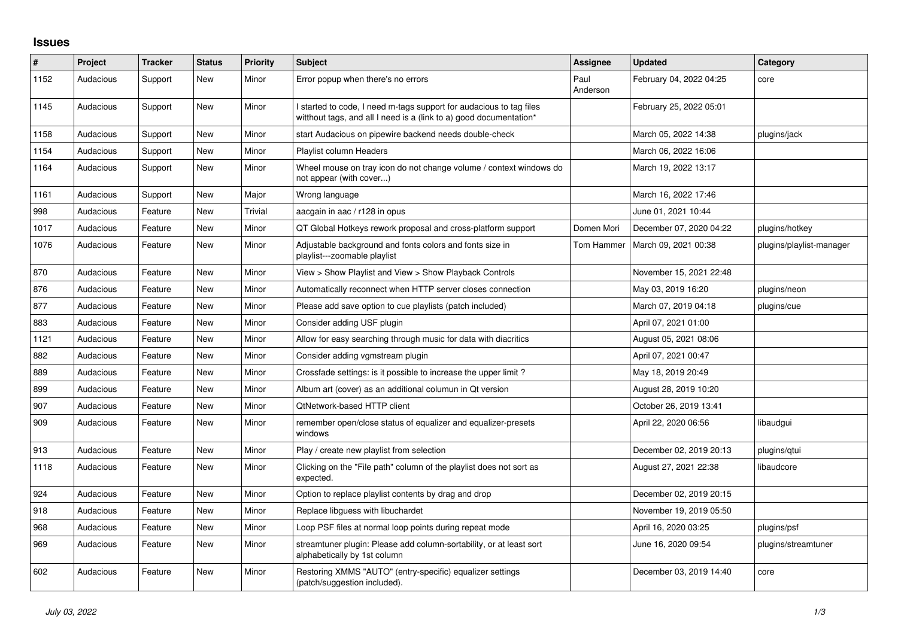## **Issues**

| #    | Project   | <b>Tracker</b> | <b>Status</b> | <b>Priority</b> | Subject                                                                                                                                   | Assignee         | <b>Updated</b>          | Category                 |
|------|-----------|----------------|---------------|-----------------|-------------------------------------------------------------------------------------------------------------------------------------------|------------------|-------------------------|--------------------------|
| 1152 | Audacious | Support        | New           | Minor           | Error popup when there's no errors                                                                                                        | Paul<br>Anderson | February 04, 2022 04:25 | core                     |
| 1145 | Audacious | Support        | New           | Minor           | I started to code, I need m-tags support for audacious to tag files<br>witthout tags, and all I need is a (link to a) good documentation* |                  | February 25, 2022 05:01 |                          |
| 1158 | Audacious | Support        | <b>New</b>    | Minor           | start Audacious on pipewire backend needs double-check                                                                                    |                  | March 05, 2022 14:38    | plugins/jack             |
| 1154 | Audacious | Support        | <b>New</b>    | Minor           | Playlist column Headers                                                                                                                   |                  | March 06, 2022 16:06    |                          |
| 1164 | Audacious | Support        | <b>New</b>    | Minor           | Wheel mouse on tray icon do not change volume / context windows do<br>not appear (with cover)                                             |                  | March 19, 2022 13:17    |                          |
| 1161 | Audacious | Support        | <b>New</b>    | Major           | Wrong language                                                                                                                            |                  | March 16, 2022 17:46    |                          |
| 998  | Audacious | Feature        | New           | Trivial         | aacgain in aac / r128 in opus                                                                                                             |                  | June 01, 2021 10:44     |                          |
| 1017 | Audacious | Feature        | <b>New</b>    | Minor           | QT Global Hotkeys rework proposal and cross-platform support                                                                              | Domen Mori       | December 07, 2020 04:22 | plugins/hotkey           |
| 1076 | Audacious | Feature        | <b>New</b>    | Minor           | Adjustable background and fonts colors and fonts size in<br>playlist---zoomable playlist                                                  | Tom Hammer       | March 09, 2021 00:38    | plugins/playlist-manager |
| 870  | Audacious | Feature        | <b>New</b>    | Minor           | View > Show Playlist and View > Show Playback Controls                                                                                    |                  | November 15, 2021 22:48 |                          |
| 876  | Audacious | Feature        | <b>New</b>    | Minor           | Automatically reconnect when HTTP server closes connection                                                                                |                  | May 03, 2019 16:20      | plugins/neon             |
| 877  | Audacious | Feature        | <b>New</b>    | Minor           | Please add save option to cue playlists (patch included)                                                                                  |                  | March 07, 2019 04:18    | plugins/cue              |
| 883  | Audacious | Feature        | New           | Minor           | Consider adding USF plugin                                                                                                                |                  | April 07, 2021 01:00    |                          |
| 1121 | Audacious | Feature        | New           | Minor           | Allow for easy searching through music for data with diacritics                                                                           |                  | August 05, 2021 08:06   |                          |
| 882  | Audacious | Feature        | <b>New</b>    | Minor           | Consider adding vgmstream plugin                                                                                                          |                  | April 07, 2021 00:47    |                          |
| 889  | Audacious | Feature        | <b>New</b>    | Minor           | Crossfade settings: is it possible to increase the upper limit?                                                                           |                  | May 18, 2019 20:49      |                          |
| 899  | Audacious | Feature        | New           | Minor           | Album art (cover) as an additional columun in Qt version                                                                                  |                  | August 28, 2019 10:20   |                          |
| 907  | Audacious | Feature        | <b>New</b>    | Minor           | QtNetwork-based HTTP client                                                                                                               |                  | October 26, 2019 13:41  |                          |
| 909  | Audacious | Feature        | New           | Minor           | remember open/close status of equalizer and equalizer-presets<br>windows                                                                  |                  | April 22, 2020 06:56    | libaudgui                |
| 913  | Audacious | Feature        | New           | Minor           | Play / create new playlist from selection                                                                                                 |                  | December 02, 2019 20:13 | plugins/qtui             |
| 1118 | Audacious | Feature        | <b>New</b>    | Minor           | Clicking on the "File path" column of the playlist does not sort as<br>expected.                                                          |                  | August 27, 2021 22:38   | libaudcore               |
| 924  | Audacious | Feature        | <b>New</b>    | Minor           | Option to replace playlist contents by drag and drop                                                                                      |                  | December 02, 2019 20:15 |                          |
| 918  | Audacious | Feature        | <b>New</b>    | Minor           | Replace libguess with libuchardet                                                                                                         |                  | November 19, 2019 05:50 |                          |
| 968  | Audacious | Feature        | <b>New</b>    | Minor           | Loop PSF files at normal loop points during repeat mode                                                                                   |                  | April 16, 2020 03:25    | plugins/psf              |
| 969  | Audacious | Feature        | <b>New</b>    | Minor           | streamtuner plugin: Please add column-sortability, or at least sort<br>alphabetically by 1st column                                       |                  | June 16, 2020 09:54     | plugins/streamtuner      |
| 602  | Audacious | Feature        | <b>New</b>    | Minor           | Restoring XMMS "AUTO" (entry-specific) equalizer settings<br>(patch/suggestion included).                                                 |                  | December 03, 2019 14:40 | core                     |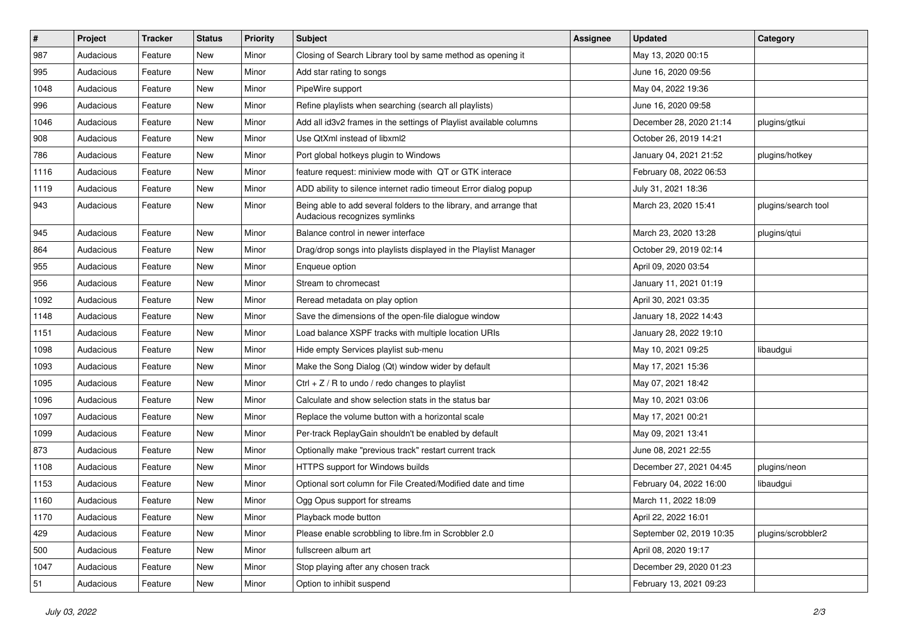| $\vert$ # | Project   | <b>Tracker</b> | <b>Status</b> | <b>Priority</b> | <b>Subject</b>                                                                                      | <b>Assignee</b> | <b>Updated</b>           | Category            |
|-----------|-----------|----------------|---------------|-----------------|-----------------------------------------------------------------------------------------------------|-----------------|--------------------------|---------------------|
| 987       | Audacious | Feature        | New           | Minor           | Closing of Search Library tool by same method as opening it                                         |                 | May 13, 2020 00:15       |                     |
| 995       | Audacious | Feature        | <b>New</b>    | Minor           | Add star rating to songs                                                                            |                 | June 16, 2020 09:56      |                     |
| 1048      | Audacious | Feature        | New           | Minor           | PipeWire support                                                                                    |                 | May 04, 2022 19:36       |                     |
| 996       | Audacious | Feature        | New           | Minor           | Refine playlists when searching (search all playlists)                                              |                 | June 16, 2020 09:58      |                     |
| 1046      | Audacious | Feature        | <b>New</b>    | Minor           | Add all id3v2 frames in the settings of Playlist available columns                                  |                 | December 28, 2020 21:14  | plugins/gtkui       |
| 908       | Audacious | Feature        | New           | Minor           | Use QtXml instead of libxml2                                                                        |                 | October 26, 2019 14:21   |                     |
| 786       | Audacious | Feature        | New           | Minor           | Port global hotkeys plugin to Windows                                                               |                 | January 04, 2021 21:52   | plugins/hotkey      |
| 1116      | Audacious | Feature        | New           | Minor           | feature request: miniview mode with QT or GTK interace                                              |                 | February 08, 2022 06:53  |                     |
| 1119      | Audacious | Feature        | New           | Minor           | ADD ability to silence internet radio timeout Error dialog popup                                    |                 | July 31, 2021 18:36      |                     |
| 943       | Audacious | Feature        | New           | Minor           | Being able to add several folders to the library, and arrange that<br>Audacious recognizes symlinks |                 | March 23, 2020 15:41     | plugins/search tool |
| 945       | Audacious | Feature        | New           | Minor           | Balance control in newer interface                                                                  |                 | March 23, 2020 13:28     | plugins/qtui        |
| 864       | Audacious | Feature        | New           | Minor           | Drag/drop songs into playlists displayed in the Playlist Manager                                    |                 | October 29, 2019 02:14   |                     |
| 955       | Audacious | Feature        | New           | Minor           | Enqueue option                                                                                      |                 | April 09, 2020 03:54     |                     |
| 956       | Audacious | Feature        | New           | Minor           | Stream to chromecast                                                                                |                 | January 11, 2021 01:19   |                     |
| 1092      | Audacious | Feature        | New           | Minor           | Reread metadata on play option                                                                      |                 | April 30, 2021 03:35     |                     |
| 1148      | Audacious | Feature        | New           | Minor           | Save the dimensions of the open-file dialogue window                                                |                 | January 18, 2022 14:43   |                     |
| 1151      | Audacious | Feature        | New           | Minor           | Load balance XSPF tracks with multiple location URIs                                                |                 | January 28, 2022 19:10   |                     |
| 1098      | Audacious | Feature        | New           | Minor           | Hide empty Services playlist sub-menu                                                               |                 | May 10, 2021 09:25       | libaudgui           |
| 1093      | Audacious | Feature        | <b>New</b>    | Minor           | Make the Song Dialog (Qt) window wider by default                                                   |                 | May 17, 2021 15:36       |                     |
| 1095      | Audacious | Feature        | New           | Minor           | Ctrl + $Z$ / R to undo / redo changes to playlist                                                   |                 | May 07, 2021 18:42       |                     |
| 1096      | Audacious | Feature        | New           | Minor           | Calculate and show selection stats in the status bar                                                |                 | May 10, 2021 03:06       |                     |
| 1097      | Audacious | Feature        | New           | Minor           | Replace the volume button with a horizontal scale                                                   |                 | May 17, 2021 00:21       |                     |
| 1099      | Audacious | Feature        | New           | Minor           | Per-track ReplayGain shouldn't be enabled by default                                                |                 | May 09, 2021 13:41       |                     |
| 873       | Audacious | Feature        | New           | Minor           | Optionally make "previous track" restart current track                                              |                 | June 08, 2021 22:55      |                     |
| 1108      | Audacious | Feature        | New           | Minor           | HTTPS support for Windows builds                                                                    |                 | December 27, 2021 04:45  | plugins/neon        |
| 1153      | Audacious | Feature        | New           | Minor           | Optional sort column for File Created/Modified date and time                                        |                 | February 04, 2022 16:00  | libaudgui           |
| 1160      | Audacious | Feature        | New           | Minor           | Ogg Opus support for streams                                                                        |                 | March 11, 2022 18:09     |                     |
| 1170      | Audacious | Feature        | New           | Minor           | Playback mode button                                                                                |                 | April 22, 2022 16:01     |                     |
| 429       | Audacious | Feature        | New           | Minor           | Please enable scrobbling to libre.fm in Scrobbler 2.0                                               |                 | September 02, 2019 10:35 | plugins/scrobbler2  |
| 500       | Audacious | Feature        | New           | Minor           | fullscreen album art                                                                                |                 | April 08, 2020 19:17     |                     |
| 1047      | Audacious | Feature        | New           | Minor           | Stop playing after any chosen track                                                                 |                 | December 29, 2020 01:23  |                     |
| 51        | Audacious | Feature        | New           | Minor           | Option to inhibit suspend                                                                           |                 | February 13, 2021 09:23  |                     |